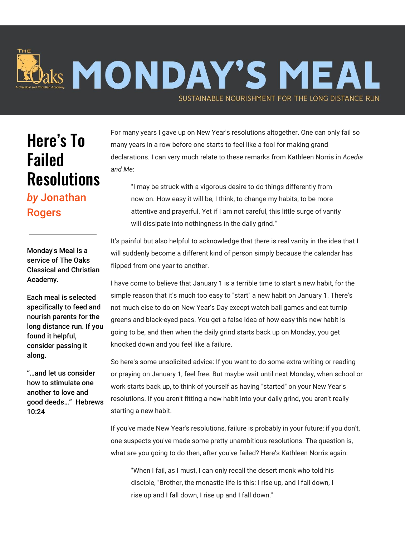## **Aaks MONDAY'S MEAL** SUSTAINABLE NOURISHMENT FOR THE LONG DISTANCE RUN

## Here's To Failed **Resolutions**

## *by* Jonathan Rogers

Monday's Meal is a service of The Oaks Classical and Christian Academy.

Each meal is selected specifically to feed and nourish parents for the long distance run. If you found it helpful, consider passing it along.

"…and let us consider how to stimulate one another to love and good deeds…" Hebrews 10:24

For many years I gave up on New Year's resolutions altogether. One can only fail so many years in a row before one starts to feel like a fool for making grand declarations. I can very much relate to these remarks from Kathleen Norris in *Acedia and Me*:

"I may be struck with a vigorous desire to do things differently from now on. How easy it will be, I think, to change my habits, to be more attentive and prayerful. Yet if I am not careful, this little surge of vanity will dissipate into nothingness in the daily grind."

It's painful but also helpful to acknowledge that there is real vanity in the idea that I will suddenly become a different kind of person simply because the calendar has flipped from one year to another.

I have come to believe that January 1 is a terrible time to start a new habit, for the simple reason that it's much too easy to "start" a new habit on January 1. There's not much else to do on New Year's Day except watch ball games and eat turnip greens and black-eyed peas. You get a false idea of how easy this new habit is going to be, and then when the daily grind starts back up on Monday, you get knocked down and you feel like a failure.

So here's some unsolicited advice: If you want to do some extra writing or reading or praying on January 1, feel free. But maybe wait until next Monday, when school or work starts back up, to think of yourself as having "started" on your New Year's resolutions. If you aren't fitting a new habit into your daily grind, you aren't really starting a new habit.

If you've made New Year's resolutions, failure is probably in your future; if you don't, one suspects you've made some pretty unambitious resolutions. The question is, what are you going to do then, after you've failed? Here's Kathleen Norris again:

"When I fail, as I must, I can only recall the desert monk who told his disciple, "Brother, the monastic life is this: I rise up, and I fall down, I rise up and I fall down, I rise up and I fall down."